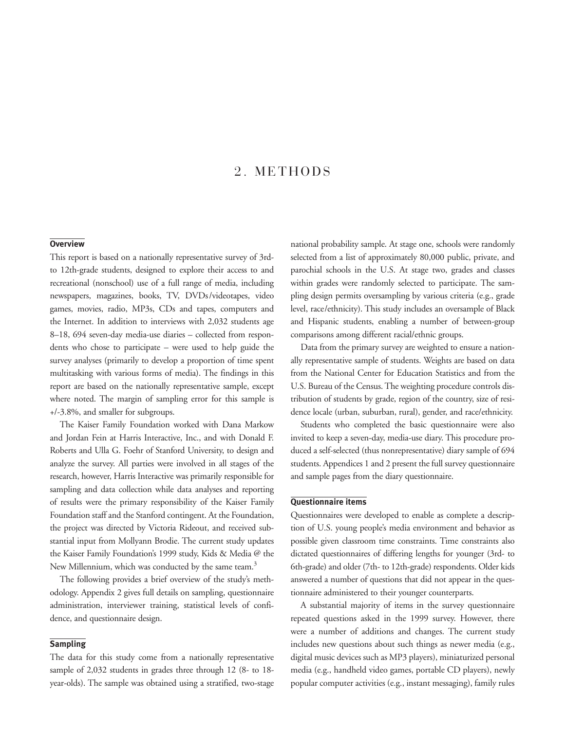# 2. METHODS

# **Overview**

This report is based on a nationally representative survey of 3rdto 12th-grade students, designed to explore their access to and recreational (nonschool) use of a full range of media, including newspapers, magazines, books, TV, DVDs/videotapes, video games, movies, radio, MP3s, CDs and tapes, computers and the Internet. In addition to interviews with 2,032 students age 8–18, 694 seven-day media-use diaries – collected from respondents who chose to participate – were used to help guide the survey analyses (primarily to develop a proportion of time spent multitasking with various forms of media). The findings in this report are based on the nationally representative sample, except where noted. The margin of sampling error for this sample is +/-3.8%, and smaller for subgroups.

The Kaiser Family Foundation worked with Dana Markow and Jordan Fein at Harris Interactive, Inc., and with Donald F. Roberts and Ulla G. Foehr of Stanford University, to design and analyze the survey. All parties were involved in all stages of the research, however, Harris Interactive was primarily responsible for sampling and data collection while data analyses and reporting of results were the primary responsibility of the Kaiser Family Foundation staff and the Stanford contingent. At the Foundation, the project was directed by Victoria Rideout, and received substantial input from Mollyann Brodie. The current study updates the Kaiser Family Foundation's 1999 study, Kids & Media @ the New Millennium, which was conducted by the same team.<sup>3</sup>

The following provides a brief overview of the study's methodology. Appendix 2 gives full details on sampling, questionnaire administration, interviewer training, statistical levels of confidence, and questionnaire design.

## **Sampling**

The data for this study come from a nationally representative sample of 2,032 students in grades three through 12 (8- to 18 year-olds). The sample was obtained using a stratified, two-stage

national probability sample. At stage one, schools were randomly selected from a list of approximately 80,000 public, private, and parochial schools in the U.S. At stage two, grades and classes within grades were randomly selected to participate. The sampling design permits oversampling by various criteria (e.g., grade level, race/ethnicity). This study includes an oversample of Black and Hispanic students, enabling a number of between-group comparisons among different racial/ethnic groups.

Data from the primary survey are weighted to ensure a nationally representative sample of students. Weights are based on data from the National Center for Education Statistics and from the U.S. Bureau of the Census. The weighting procedure controls distribution of students by grade, region of the country, size of residence locale (urban, suburban, rural), gender, and race/ethnicity.

Students who completed the basic questionnaire were also invited to keep a seven-day, media-use diary. This procedure produced a self-selected (thus nonrepresentative) diary sample of 694 students. Appendices 1 and 2 present the full survey questionnaire and sample pages from the diary questionnaire.

### **Questionnaire items**

Questionnaires were developed to enable as complete a description of U.S. young people's media environment and behavior as possible given classroom time constraints. Time constraints also dictated questionnaires of differing lengths for younger (3rd- to 6th-grade) and older (7th- to 12th-grade) respondents. Older kids answered a number of questions that did not appear in the questionnaire administered to their younger counterparts.

A substantial majority of items in the survey questionnaire repeated questions asked in the 1999 survey. However, there were a number of additions and changes. The current study includes new questions about such things as newer media (e.g., digital music devices such as MP3 players), miniaturized personal media (e.g., handheld video games, portable CD players), newly popular computer activities (e.g., instant messaging), family rules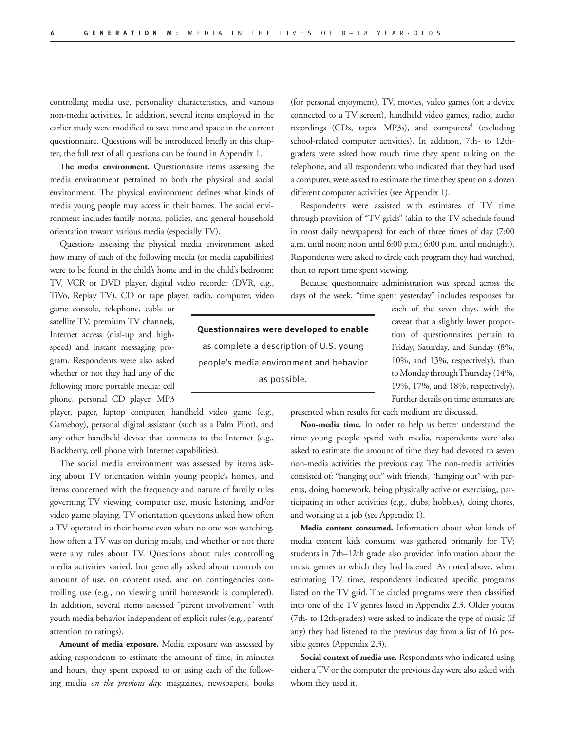controlling media use, personality characteristics, and various non-media activities. In addition, several items employed in the earlier study were modified to save time and space in the current questionnaire. Questions will be introduced briefly in this chapter; the full text of all questions can be found in Appendix 1.

**The media environment.** Questionnaire items assessing the media environment pertained to both the physical and social environment. The physical environment defines what kinds of media young people may access in their homes. The social environment includes family norms, policies, and general household orientation toward various media (especially TV).

Questions assessing the physical media environment asked how many of each of the following media (or media capabilities) were to be found in the child's home and in the child's bedroom: TV, VCR or DVD player, digital video recorder (DVR, e.g., TiVo, Replay TV), CD or tape player, radio, computer, video

game console, telephone, cable or satellite TV, premium TV channels, Internet access (dial-up and highspeed) and instant messaging program. Respondents were also asked whether or not they had any of the following more portable media: cell phone, personal CD player, MP3

player, pager, laptop computer, handheld video game (e.g., Gameboy), personal digital assistant (such as a Palm Pilot), and any other handheld device that connects to the Internet (e.g., Blackberry, cell phone with Internet capabilities).

The social media environment was assessed by items asking about TV orientation within young people's homes, and items concerned with the frequency and nature of family rules governing TV viewing, computer use, music listening, and/or video game playing. TV orientation questions asked how often a TV operated in their home even when no one was watching, how often a TV was on during meals, and whether or not there were any rules about TV. Questions about rules controlling media activities varied, but generally asked about controls on amount of use, on content used, and on contingencies controlling use (e.g., no viewing until homework is completed). In addition, several items assessed "parent involvement" with youth media behavior independent of explicit rules (e.g., parents' attention to ratings).

**Amount of media exposure.** Media exposure was assessed by asking respondents to estimate the amount of time, in minutes and hours, they spent exposed to or using each of the following media *on the previous day*: magazines, newspapers, books

(for personal enjoyment), TV, movies, video games (on a device connected to a TV screen), handheld video games, radio, audio recordings (CDs, tapes, MP3s), and computers<sup>4</sup> (excluding school-related computer activities). In addition, 7th- to 12thgraders were asked how much time they spent talking on the telephone, and all respondents who indicated that they had used a computer, were asked to estimate the time they spent on a dozen different computer activities (see Appendix 1).

Respondents were assisted with estimates of TV time through provision of "TV grids" (akin to the TV schedule found in most daily newspapers) for each of three times of day (7:00 a.m. until noon; noon until 6:00 p.m.; 6:00 p.m. until midnight). Respondents were asked to circle each program they had watched, then to report time spent viewing.

Because questionnaire administration was spread across the days of the week, "time spent yesterday" includes responses for

**Questionnaires were developed to enable**  as complete a description of U.S. young people's media environment and behavior as possible.

each of the seven days, with the caveat that a slightly lower proportion of questionnaires pertain to Friday, Saturday, and Sunday (8%, 10%, and 13%, respectively), than to Monday through Thursday (14%, 19%, 17%, and 18%, respectively). Further details on time estimates are

presented when results for each medium are discussed.

**Non-media time.** In order to help us better understand the time young people spend with media, respondents were also asked to estimate the amount of time they had devoted to seven non-media activities the previous day. The non-media activities consisted of: "hanging out" with friends, "hanging out" with parents, doing homework, being physically active or exercising, participating in other activities (e.g., clubs, hobbies), doing chores, and working at a job (see Appendix 1).

**Media content consumed.** Information about what kinds of media content kids consume was gathered primarily for TV; students in 7th–12th grade also provided information about the music genres to which they had listened. As noted above, when estimating TV time, respondents indicated specific programs listed on the TV grid. The circled programs were then classified into one of the TV genres listed in Appendix 2.3. Older youths (7th- to 12th-graders) were asked to indicate the type of music (if any) they had listened to the previous day from a list of 16 possible genres (Appendix 2.3).

**Social context of media use.** Respondents who indicated using either a TV or the computer the previous day were also asked with whom they used it.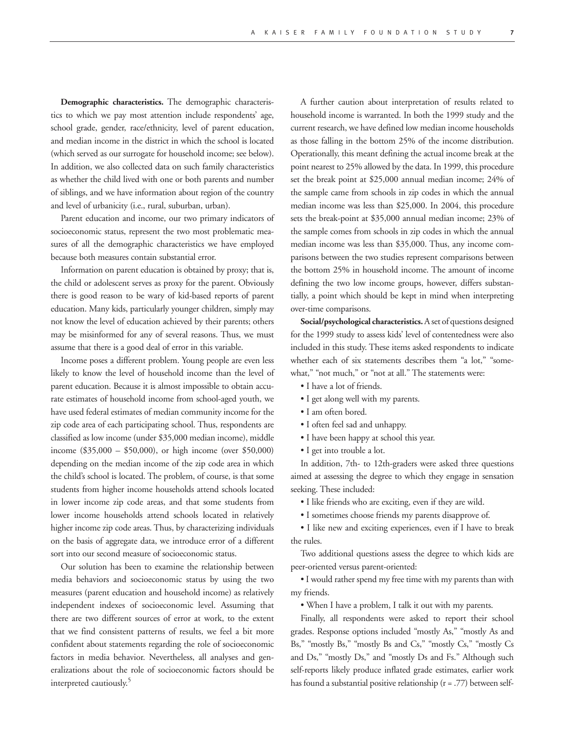**Demographic characteristics.** The demographic characteristics to which we pay most attention include respondents' age, school grade, gender, race/ethnicity, level of parent education, and median income in the district in which the school is located (which served as our surrogate for household income; see below). In addition, we also collected data on such family characteristics as whether the child lived with one or both parents and number of siblings, and we have information about region of the country and level of urbanicity (i.e., rural, suburban, urban).

Parent education and income, our two primary indicators of socioeconomic status, represent the two most problematic measures of all the demographic characteristics we have employed because both measures contain substantial error.

Information on parent education is obtained by proxy; that is, the child or adolescent serves as proxy for the parent. Obviously there is good reason to be wary of kid-based reports of parent education. Many kids, particularly younger children, simply may not know the level of education achieved by their parents; others may be misinformed for any of several reasons. Thus, we must assume that there is a good deal of error in this variable.

Income poses a different problem. Young people are even less likely to know the level of household income than the level of parent education. Because it is almost impossible to obtain accurate estimates of household income from school-aged youth, we have used federal estimates of median community income for the zip code area of each participating school. Thus, respondents are classified as low income (under \$35,000 median income), middle income (\$35,000 – \$50,000), or high income (over \$50,000) depending on the median income of the zip code area in which the child's school is located. The problem, of course, is that some students from higher income households attend schools located in lower income zip code areas, and that some students from lower income households attend schools located in relatively higher income zip code areas. Thus, by characterizing individuals on the basis of aggregate data, we introduce error of a different sort into our second measure of socioeconomic status.

Our solution has been to examine the relationship between media behaviors and socioeconomic status by using the two measures (parent education and household income) as relatively independent indexes of socioeconomic level. Assuming that there are two different sources of error at work, to the extent that we find consistent patterns of results, we feel a bit more confident about statements regarding the role of socioeconomic factors in media behavior. Nevertheless, all analyses and generalizations about the role of socioeconomic factors should be interpreted cautiously.<sup>5</sup>

A further caution about interpretation of results related to household income is warranted. In both the 1999 study and the current research, we have defined low median income households as those falling in the bottom 25% of the income distribution. Operationally, this meant defining the actual income break at the point nearest to 25% allowed by the data. In 1999, this procedure set the break point at \$25,000 annual median income; 24% of the sample came from schools in zip codes in which the annual median income was less than \$25,000. In 2004, this procedure sets the break-point at \$35,000 annual median income; 23% of the sample comes from schools in zip codes in which the annual median income was less than \$35,000. Thus, any income comparisons between the two studies represent comparisons between the bottom 25% in household income. The amount of income defining the two low income groups, however, differs substantially, a point which should be kept in mind when interpreting over-time comparisons.

**Social/psychological characteristics.** A set of questions designed for the 1999 study to assess kids' level of contentedness were also included in this study. These items asked respondents to indicate whether each of six statements describes them "a lot," "somewhat," "not much," or "not at all." The statements were:

- I have a lot of friends.
- I get along well with my parents.
- I am often bored.
- I often feel sad and unhappy.
- I have been happy at school this year.
- I get into trouble a lot.

In addition, 7th- to 12th-graders were asked three questions aimed at assessing the degree to which they engage in sensation seeking. These included:

• I like friends who are exciting, even if they are wild.

• I sometimes choose friends my parents disapprove of.

• I like new and exciting experiences, even if I have to break the rules.

Two additional questions assess the degree to which kids are peer-oriented versus parent-oriented:

• I would rather spend my free time with my parents than with my friends.

• When I have a problem, I talk it out with my parents.

Finally, all respondents were asked to report their school grades. Response options included "mostly As," "mostly As and Bs," "mostly Bs," "mostly Bs and Cs," "mostly Cs," "mostly Cs and Ds," "mostly Ds," and "mostly Ds and Fs." Although such self-reports likely produce inflated grade estimates, earlier work has found a substantial positive relationship (r = .77) between self